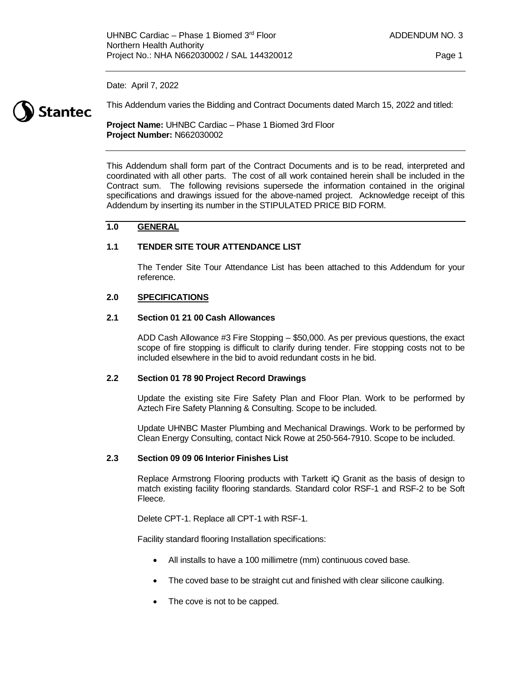Date: April 7, 2022



This Addendum varies the Bidding and Contract Documents dated March 15, 2022 and titled:

**Project Name:** UHNBC Cardiac – Phase 1 Biomed 3rd Floor **Project Number:** N662030002

This Addendum shall form part of the Contract Documents and is to be read, interpreted and coordinated with all other parts. The cost of all work contained herein shall be included in the Contract sum. The following revisions supersede the information contained in the original specifications and drawings issued for the above-named project. Acknowledge receipt of this Addendum by inserting its number in the STIPULATED PRICE BID FORM.

#### **1.0 GENERAL**

#### **1.1 TENDER SITE TOUR ATTENDANCE LIST**

The Tender Site Tour Attendance List has been attached to this Addendum for your reference.

#### **2.0 SPECIFICATIONS**

#### **2.1 Section 01 21 00 Cash Allowances**

ADD Cash Allowance #3 Fire Stopping – \$50,000. As per previous questions, the exact scope of fire stopping is difficult to clarify during tender. Fire stopping costs not to be included elsewhere in the bid to avoid redundant costs in he bid.

#### **2.2 Section 01 78 90 Project Record Drawings**

Update the existing site Fire Safety Plan and Floor Plan. Work to be performed by Aztech Fire Safety Planning & Consulting. Scope to be included.

Update UHNBC Master Plumbing and Mechanical Drawings. Work to be performed by Clean Energy Consulting, contact Nick Rowe at 250-564-7910. Scope to be included.

#### **2.3 Section 09 09 06 Interior Finishes List**

Replace Armstrong Flooring products with Tarkett iQ Granit as the basis of design to match existing facility flooring standards. Standard color RSF-1 and RSF-2 to be Soft Fleece.

Delete CPT-1. Replace all CPT-1 with RSF-1.

Facility standard flooring Installation specifications:

- All installs to have a 100 millimetre (mm) continuous coved base.
- The coved base to be straight cut and finished with clear silicone caulking.
- The cove is not to be capped.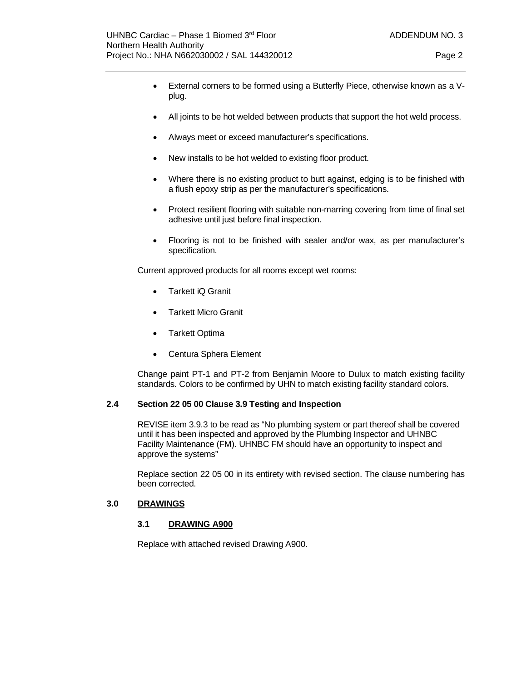- External corners to be formed using a Butterfly Piece, otherwise known as a Vplug.
- All joints to be hot welded between products that support the hot weld process.
- Always meet or exceed manufacturer's specifications.
- New installs to be hot welded to existing floor product.
- Where there is no existing product to butt against, edging is to be finished with a flush epoxy strip as per the manufacturer's specifications.
- Protect resilient flooring with suitable non-marring covering from time of final set adhesive until just before final inspection.
- Flooring is not to be finished with sealer and/or wax, as per manufacturer's specification.

Current approved products for all rooms except wet rooms:

- Tarkett iQ Granit
- Tarkett Micro Granit
- Tarkett Optima
- Centura Sphera Element

Change paint PT-1 and PT-2 from Benjamin Moore to Dulux to match existing facility standards. Colors to be confirmed by UHN to match existing facility standard colors.

#### **2.4 Section 22 05 00 Clause 3.9 Testing and Inspection**

REVISE item 3.9.3 to be read as "No plumbing system or part thereof shall be covered until it has been inspected and approved by the Plumbing Inspector and UHNBC Facility Maintenance (FM). UHNBC FM should have an opportunity to inspect and approve the systems"

Replace section 22 05 00 in its entirety with revised section. The clause numbering has been corrected.

#### **3.0 DRAWINGS**

#### **3.1 DRAWING A900**

Replace with attached revised Drawing A900.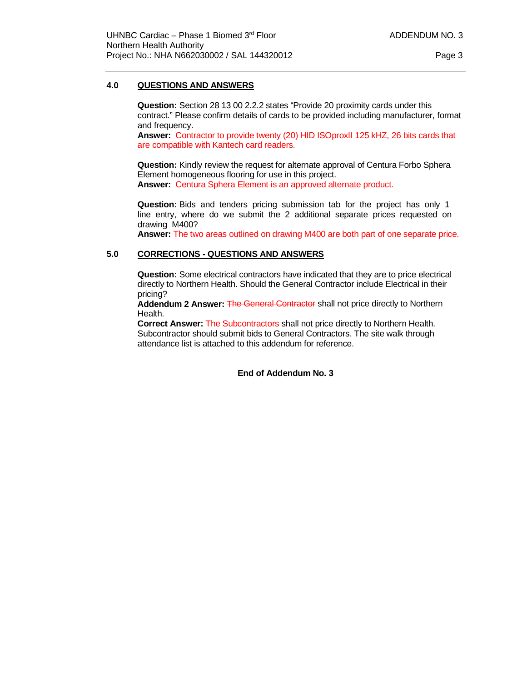#### **4.0 QUESTIONS AND ANSWERS**

**Question:** Section 28 13 00 2.2.2 states "Provide 20 proximity cards under this contract." Please confirm details of cards to be provided including manufacturer, format and frequency.

**Answer:** Contractor to provide twenty (20) HID ISOproxII 125 kHZ, 26 bits cards that are compatible with Kantech card readers.

**Question:** Kindly review the request for alternate approval of Centura Forbo Sphera Element homogeneous flooring for use in this project. **Answer:** Centura Sphera Element is an approved alternate product.

**Question:** Bids and tenders pricing submission tab for the project has only 1 line entry, where do we submit the 2 additional separate prices requested on drawing M400?

**Answer:** The two areas outlined on drawing M400 are both part of one separate price.

#### **5.0 CORRECTIONS - QUESTIONS AND ANSWERS**

**Question:** Some electrical contractors have indicated that they are to price electrical directly to Northern Health. Should the General Contractor include Electrical in their pricing?

**Addendum 2 Answer: The General Contractor** shall not price directly to Northern Health.

**Correct Answer:** The Subcontractors shall not price directly to Northern Health. Subcontractor should submit bids to General Contractors. The site walk through attendance list is attached to this addendum for reference.

**End of Addendum No. 3**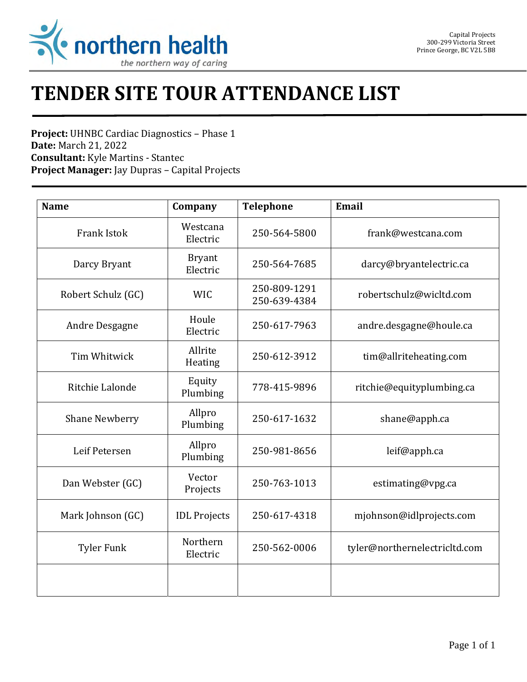

# **TENDER SITE TOUR ATTENDANCE LIST**

**Project:** UHNBC Cardiac Diagnostics – Phase 1 **Date:** March 21, 2022 **Consultant:** Kyle Martins - Stantec **Project Manager:** Jay Dupras – Capital Projects

| <b>Name</b>           | Company                   | <b>Telephone</b>             | Email                         |
|-----------------------|---------------------------|------------------------------|-------------------------------|
| <b>Frank Istok</b>    | Westcana<br>Electric      | 250-564-5800                 | frank@westcana.com            |
| Darcy Bryant          | <b>Bryant</b><br>Electric | 250-564-7685                 | darcy@bryantelectric.ca       |
| Robert Schulz (GC)    | <b>WIC</b>                | 250-809-1291<br>250-639-4384 | robertschulz@wicltd.com       |
| Andre Desgagne        | Houle<br>Electric         | 250-617-7963                 | andre.desgagne@houle.ca       |
| Tim Whitwick          | Allrite<br>Heating        | 250-612-3912                 | tim@allriteheating.com        |
| Ritchie Lalonde       | Equity<br>Plumbing        | 778-415-9896                 | ritchie@equityplumbing.ca     |
| <b>Shane Newberry</b> | Allpro<br>Plumbing        | 250-617-1632                 | shane@apph.ca                 |
| Leif Petersen         | Allpro<br>Plumbing        | 250-981-8656                 | leif@apph.ca                  |
| Dan Webster (GC)      | Vector<br>Projects        | 250-763-1013                 | estimating@vpg.ca             |
| Mark Johnson (GC)     | <b>IDL</b> Projects       | 250-617-4318                 | mjohnson@idlprojects.com      |
| <b>Tyler Funk</b>     | Northern<br>Electric      | 250-562-0006                 | tyler@northernelectricltd.com |
|                       |                           |                              |                               |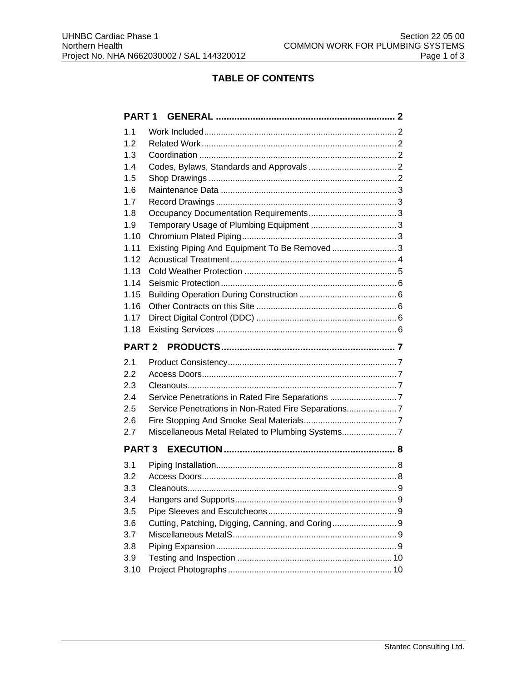## **TABLE OF CONTENTS**

|      | <b>PART1</b>                                        |  |  |  |
|------|-----------------------------------------------------|--|--|--|
| 1.1  |                                                     |  |  |  |
| 1.2  |                                                     |  |  |  |
| 1.3  |                                                     |  |  |  |
| 1.4  |                                                     |  |  |  |
| 1.5  |                                                     |  |  |  |
| 1.6  |                                                     |  |  |  |
| 1.7  |                                                     |  |  |  |
| 1.8  |                                                     |  |  |  |
| 1.9  |                                                     |  |  |  |
| 1.10 |                                                     |  |  |  |
| 1.11 | Existing Piping And Equipment To Be Removed  3      |  |  |  |
| 1.12 |                                                     |  |  |  |
| 1.13 |                                                     |  |  |  |
| 1.14 |                                                     |  |  |  |
| 1.15 |                                                     |  |  |  |
| 1.16 |                                                     |  |  |  |
| 1.17 |                                                     |  |  |  |
| 1.18 |                                                     |  |  |  |
|      |                                                     |  |  |  |
|      |                                                     |  |  |  |
| 2.1  |                                                     |  |  |  |
| 2.2  |                                                     |  |  |  |
| 2.3  |                                                     |  |  |  |
| 2.4  | Service Penetrations in Rated Fire Separations 7    |  |  |  |
| 2.5  | Service Penetrations in Non-Rated Fire Separations7 |  |  |  |
| 2.6  |                                                     |  |  |  |
| 2.7  | Miscellaneous Metal Related to Plumbing Systems     |  |  |  |
|      | <b>PART 3</b>                                       |  |  |  |
| 3.1  |                                                     |  |  |  |
| 3.2  |                                                     |  |  |  |
| 3.3  |                                                     |  |  |  |
| 3.4  |                                                     |  |  |  |
| 3.5  |                                                     |  |  |  |
| 3.6  | Cutting, Patching, Digging, Canning, and Coring 9   |  |  |  |
| 3.7  |                                                     |  |  |  |
| 3.8  |                                                     |  |  |  |
| 3.9  |                                                     |  |  |  |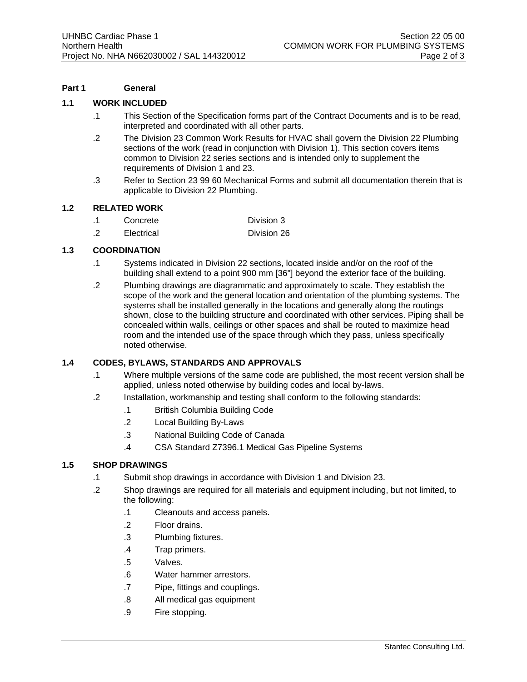#### **Part 1 General**

#### **1.1 WORK INCLUDED**

- .1 This Section of the Specification forms part of the Contract Documents and is to be read, interpreted and coordinated with all other parts.
- .2 The Division 23 Common Work Results for HVAC shall govern the Division 22 Plumbing sections of the work (read in conjunction with Division 1). This section covers items common to Division 22 series sections and is intended only to supplement the requirements of Division 1 and 23.
- .3 Refer to Section 23 99 60 Mechanical Forms and submit all documentation therein that is applicable to Division 22 Plumbing.

#### **1.2 RELATED WORK**

| Concrete | Division 3 |
|----------|------------|
|          |            |

.2 Electrical Division 26

#### **1.3 COORDINATION**

- .1 Systems indicated in Division 22 sections, located inside and/or on the roof of the building shall extend to a point 900 mm [36"] beyond the exterior face of the building.
- .2 Plumbing drawings are diagrammatic and approximately to scale. They establish the scope of the work and the general location and orientation of the plumbing systems. The systems shall be installed generally in the locations and generally along the routings shown, close to the building structure and coordinated with other services. Piping shall be concealed within walls, ceilings or other spaces and shall be routed to maximize head room and the intended use of the space through which they pass, unless specifically noted otherwise.

#### **1.4 CODES, BYLAWS, STANDARDS AND APPROVALS**

- .1 Where multiple versions of the same code are published, the most recent version shall be applied, unless noted otherwise by building codes and local by-laws.
- .2 Installation, workmanship and testing shall conform to the following standards:
	- .1 British Columbia Building Code
	- .2 Local Building By-Laws
	- .3 National Building Code of Canada
	- .4 CSA Standard Z7396.1 Medical Gas Pipeline Systems

#### **1.5 SHOP DRAWINGS**

- .1 Submit shop drawings in accordance with Division 1 and Division 23.
- .2 Shop drawings are required for all materials and equipment including, but not limited, to the following:
	- .1 Cleanouts and access panels.
	- .2 Floor drains.
	- .3 Plumbing fixtures.
	- .4 Trap primers.
	- .5 Valves.
	- .6 Water hammer arrestors.
	- .7 Pipe, fittings and couplings.
	- .8 All medical gas equipment
	- .9 Fire stopping.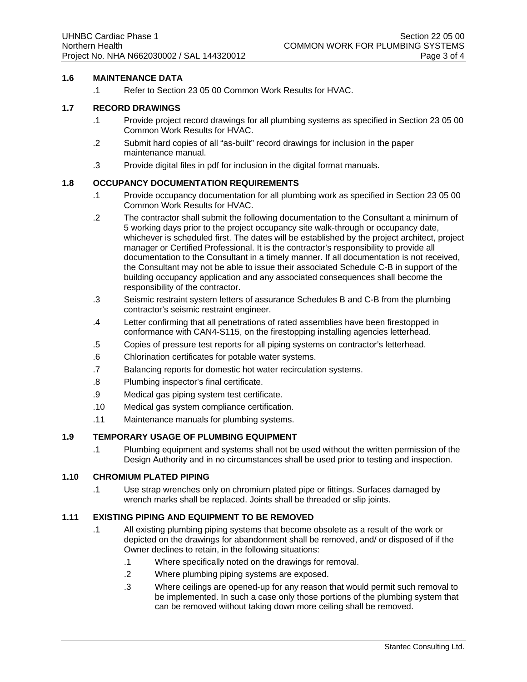#### **1.6 MAINTENANCE DATA**

.1 Refer to Section 23 05 00 Common Work Results for HVAC.

#### **1.7 RECORD DRAWINGS**

- .1 Provide project record drawings for all plumbing systems as specified in Section 23 05 00 Common Work Results for HVAC.
- .2 Submit hard copies of all "as-built" record drawings for inclusion in the paper maintenance manual.
- .3 Provide digital files in pdf for inclusion in the digital format manuals.

#### **1.8 OCCUPANCY DOCUMENTATION REQUIREMENTS**

- .1 Provide occupancy documentation for all plumbing work as specified in Section 23 05 00 Common Work Results for HVAC.
- .2 The contractor shall submit the following documentation to the Consultant a minimum of 5 working days prior to the project occupancy site walk-through or occupancy date, whichever is scheduled first. The dates will be established by the project architect, project manager or Certified Professional. It is the contractor's responsibility to provide all documentation to the Consultant in a timely manner. If all documentation is not received, the Consultant may not be able to issue their associated Schedule C-B in support of the building occupancy application and any associated consequences shall become the responsibility of the contractor.
- .3 Seismic restraint system letters of assurance Schedules B and C-B from the plumbing contractor's seismic restraint engineer.
- .4 Letter confirming that all penetrations of rated assemblies have been firestopped in conformance with CAN4-S115, on the firestopping installing agencies letterhead.
- .5 Copies of pressure test reports for all piping systems on contractor's letterhead.
- .6 Chlorination certificates for potable water systems.
- .7 Balancing reports for domestic hot water recirculation systems.
- .8 Plumbing inspector's final certificate.
- .9 Medical gas piping system test certificate.
- .10 Medical gas system compliance certification.
- .11 Maintenance manuals for plumbing systems.

#### **1.9 TEMPORARY USAGE OF PLUMBING EQUIPMENT**

.1 Plumbing equipment and systems shall not be used without the written permission of the Design Authority and in no circumstances shall be used prior to testing and inspection.

#### **1.10 CHROMIUM PLATED PIPING**

.1 Use strap wrenches only on chromium plated pipe or fittings. Surfaces damaged by wrench marks shall be replaced. Joints shall be threaded or slip joints.

### **1.11 EXISTING PIPING AND EQUIPMENT TO BE REMOVED**

- .1 All existing plumbing piping systems that become obsolete as a result of the work or depicted on the drawings for abandonment shall be removed, and/ or disposed of if the Owner declines to retain, in the following situations:
	- .1 Where specifically noted on the drawings for removal.
	- .2 Where plumbing piping systems are exposed.
	- .3 Where ceilings are opened-up for any reason that would permit such removal to be implemented. In such a case only those portions of the plumbing system that can be removed without taking down more ceiling shall be removed.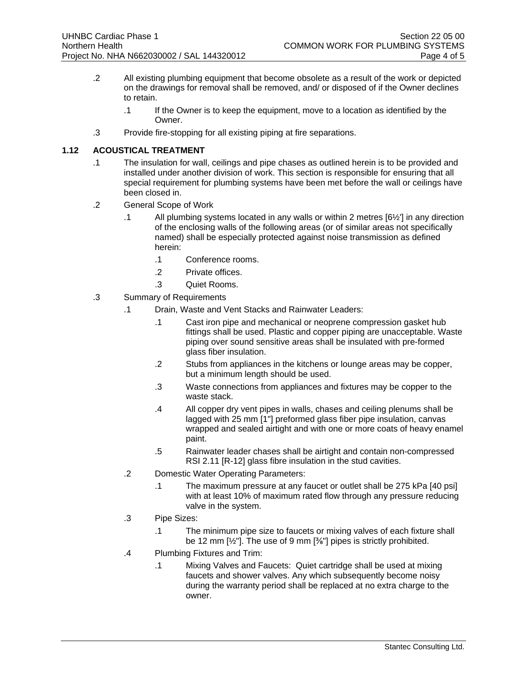- .2 All existing plumbing equipment that become obsolete as a result of the work or depicted on the drawings for removal shall be removed, and/ or disposed of if the Owner declines to retain.
	- .1 If the Owner is to keep the equipment, move to a location as identified by the Owner.
- .3 Provide fire-stopping for all existing piping at fire separations.

#### **1.12 ACOUSTICAL TREATMENT**

- .1 The insulation for wall, ceilings and pipe chases as outlined herein is to be provided and installed under another division of work. This section is responsible for ensuring that all special requirement for plumbing systems have been met before the wall or ceilings have been closed in.
- .2 General Scope of Work
	- .1 All plumbing systems located in any walls or within 2 metres [6½'] in any direction of the enclosing walls of the following areas (or of similar areas not specifically named) shall be especially protected against noise transmission as defined herein:
		- .1 Conference rooms.
		- .2 Private offices.
		- .3 Quiet Rooms.
- .3 Summary of Requirements
	- .1 Drain, Waste and Vent Stacks and Rainwater Leaders:
		- .1 Cast iron pipe and mechanical or neoprene compression gasket hub fittings shall be used. Plastic and copper piping are unacceptable. Waste piping over sound sensitive areas shall be insulated with pre-formed glass fiber insulation.
		- .2 Stubs from appliances in the kitchens or lounge areas may be copper, but a minimum length should be used.
		- .3 Waste connections from appliances and fixtures may be copper to the waste stack.
		- .4 All copper dry vent pipes in walls, chases and ceiling plenums shall be lagged with 25 mm [1"] preformed glass fiber pipe insulation, canvas wrapped and sealed airtight and with one or more coats of heavy enamel paint.
		- .5 Rainwater leader chases shall be airtight and contain non-compressed RSI 2.11 [R-12] glass fibre insulation in the stud cavities.
	- .2 Domestic Water Operating Parameters:
		- .1 The maximum pressure at any faucet or outlet shall be 275 kPa [40 psi] with at least 10% of maximum rated flow through any pressure reducing valve in the system.
	- .3 Pipe Sizes:
		- .1 The minimum pipe size to faucets or mixing valves of each fixture shall be 12 mm  $\left[\frac{1}{2}\right]$ . The use of 9 mm  $\left[\frac{3}{8}\right]$  pipes is strictly prohibited.
	- .4 Plumbing Fixtures and Trim:
		- .1 Mixing Valves and Faucets: Quiet cartridge shall be used at mixing faucets and shower valves. Any which subsequently become noisy during the warranty period shall be replaced at no extra charge to the owner.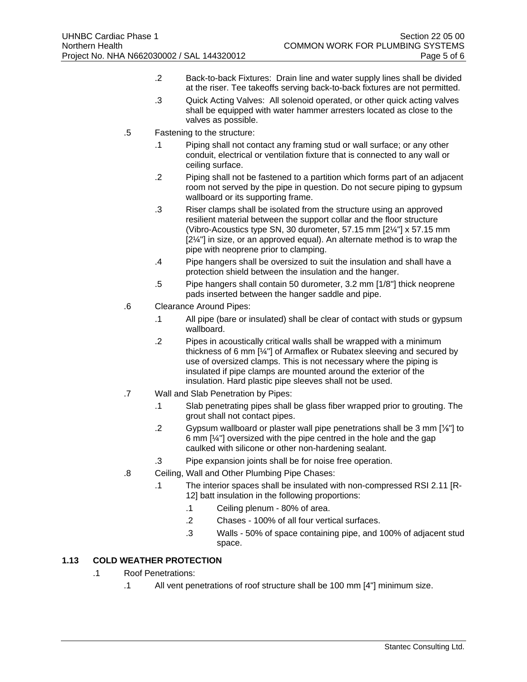- .2 Back-to-back Fixtures: Drain line and water supply lines shall be divided at the riser. Tee takeoffs serving back-to-back fixtures are not permitted.
- .3 Quick Acting Valves: All solenoid operated, or other quick acting valves shall be equipped with water hammer arresters located as close to the valves as possible.
- .5 Fastening to the structure:
	- .1 Piping shall not contact any framing stud or wall surface; or any other conduit, electrical or ventilation fixture that is connected to any wall or ceiling surface.
	- .2 Piping shall not be fastened to a partition which forms part of an adjacent room not served by the pipe in question. Do not secure piping to gypsum wallboard or its supporting frame.
	- .3 Riser clamps shall be isolated from the structure using an approved resilient material between the support collar and the floor structure (Vibro-Acoustics type SN, 30 durometer, 57.15 mm [2¼"] x 57.15 mm [2¼"] in size, or an approved equal). An alternate method is to wrap the pipe with neoprene prior to clamping.
	- .4 Pipe hangers shall be oversized to suit the insulation and shall have a protection shield between the insulation and the hanger.
	- .5 Pipe hangers shall contain 50 durometer, 3.2 mm [1/8"] thick neoprene pads inserted between the hanger saddle and pipe.
- .6 Clearance Around Pipes:
	- .1 All pipe (bare or insulated) shall be clear of contact with studs or gypsum wallboard.
	- .2 Pipes in acoustically critical walls shall be wrapped with a minimum thickness of 6 mm [¼"] of Armaflex or Rubatex sleeving and secured by use of oversized clamps. This is not necessary where the piping is insulated if pipe clamps are mounted around the exterior of the insulation. Hard plastic pipe sleeves shall not be used.
- .7 Wall and Slab Penetration by Pipes:
	- .1 Slab penetrating pipes shall be glass fiber wrapped prior to grouting. The grout shall not contact pipes.
	- .2 Gypsum wallboard or plaster wall pipe penetrations shall be 3 mm [⅛"] to 6 mm [¼"] oversized with the pipe centred in the hole and the gap caulked with silicone or other non-hardening sealant.
	- .3 Pipe expansion joints shall be for noise free operation.
- .8 Ceiling, Wall and Other Plumbing Pipe Chases:
	- .1 The interior spaces shall be insulated with non-compressed RSI 2.11 [R-12] batt insulation in the following proportions:
		- .1 Ceiling plenum 80% of area.
		- .2 Chases 100% of all four vertical surfaces.
		- .3 Walls 50% of space containing pipe, and 100% of adjacent stud space.

#### **1.13 COLD WEATHER PROTECTION**

- .1 Roof Penetrations:
	- .1 All vent penetrations of roof structure shall be 100 mm [4"] minimum size.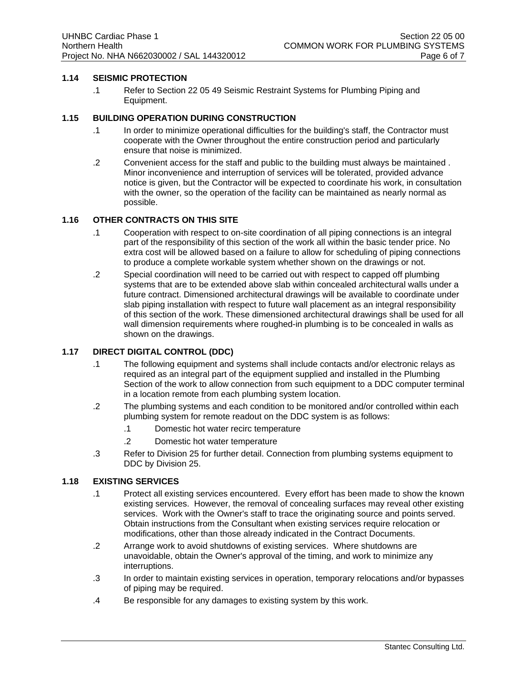#### **1.14 SEISMIC PROTECTION**

.1 Refer to Section 22 05 49 Seismic Restraint Systems for Plumbing Piping and Equipment.

#### **1.15 BUILDING OPERATION DURING CONSTRUCTION**

- .1 In order to minimize operational difficulties for the building's staff, the Contractor must cooperate with the Owner throughout the entire construction period and particularly ensure that noise is minimized.
- .2 Convenient access for the staff and public to the building must always be maintained . Minor inconvenience and interruption of services will be tolerated, provided advance notice is given, but the Contractor will be expected to coordinate his work, in consultation with the owner, so the operation of the facility can be maintained as nearly normal as possible.

#### **1.16 OTHER CONTRACTS ON THIS SITE**

- .1 Cooperation with respect to on-site coordination of all piping connections is an integral part of the responsibility of this section of the work all within the basic tender price. No extra cost will be allowed based on a failure to allow for scheduling of piping connections to produce a complete workable system whether shown on the drawings or not.
- .2 Special coordination will need to be carried out with respect to capped off plumbing systems that are to be extended above slab within concealed architectural walls under a future contract. Dimensioned architectural drawings will be available to coordinate under slab piping installation with respect to future wall placement as an integral responsibility of this section of the work. These dimensioned architectural drawings shall be used for all wall dimension requirements where roughed-in plumbing is to be concealed in walls as shown on the drawings.

#### **1.17 DIRECT DIGITAL CONTROL (DDC)**

- .1 The following equipment and systems shall include contacts and/or electronic relays as required as an integral part of the equipment supplied and installed in the Plumbing Section of the work to allow connection from such equipment to a DDC computer terminal in a location remote from each plumbing system location.
- .2 The plumbing systems and each condition to be monitored and/or controlled within each plumbing system for remote readout on the DDC system is as follows:
	- .1 Domestic hot water recirc temperature
	- .2 Domestic hot water temperature
- .3 Refer to Division 25 for further detail. Connection from plumbing systems equipment to DDC by Division 25.

#### **1.18 EXISTING SERVICES**

- .1 Protect all existing services encountered. Every effort has been made to show the known existing services. However, the removal of concealing surfaces may reveal other existing services. Work with the Owner's staff to trace the originating source and points served. Obtain instructions from the Consultant when existing services require relocation or modifications, other than those already indicated in the Contract Documents.
- .2 Arrange work to avoid shutdowns of existing services. Where shutdowns are unavoidable, obtain the Owner's approval of the timing, and work to minimize any interruptions.
- .3 In order to maintain existing services in operation, temporary relocations and/or bypasses of piping may be required.
- .4 Be responsible for any damages to existing system by this work.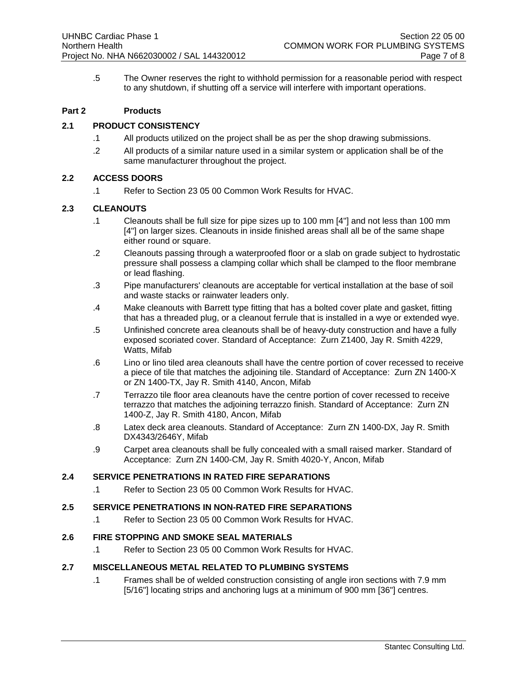.5 The Owner reserves the right to withhold permission for a reasonable period with respect to any shutdown, if shutting off a service will interfere with important operations.

#### **Part 2 Products**

#### **2.1 PRODUCT CONSISTENCY**

- .1 All products utilized on the project shall be as per the shop drawing submissions.
- .2 All products of a similar nature used in a similar system or application shall be of the same manufacturer throughout the project.

#### **2.2 ACCESS DOORS**

.1 Refer to Section 23 05 00 Common Work Results for HVAC.

#### **2.3 CLEANOUTS**

- .1 Cleanouts shall be full size for pipe sizes up to 100 mm [4"] and not less than 100 mm [4"] on larger sizes. Cleanouts in inside finished areas shall all be of the same shape either round or square.
- .2 Cleanouts passing through a waterproofed floor or a slab on grade subject to hydrostatic pressure shall possess a clamping collar which shall be clamped to the floor membrane or lead flashing.
- .3 Pipe manufacturers' cleanouts are acceptable for vertical installation at the base of soil and waste stacks or rainwater leaders only.
- .4 Make cleanouts with Barrett type fitting that has a bolted cover plate and gasket, fitting that has a threaded plug, or a cleanout ferrule that is installed in a wye or extended wye.
- .5 Unfinished concrete area cleanouts shall be of heavy-duty construction and have a fully exposed scoriated cover. Standard of Acceptance: Zurn Z1400, Jay R. Smith 4229, Watts, Mifab
- .6 Lino or lino tiled area cleanouts shall have the centre portion of cover recessed to receive a piece of tile that matches the adjoining tile. Standard of Acceptance: Zurn ZN 1400-X or ZN 1400-TX, Jay R. Smith 4140, Ancon, Mifab
- .7 Terrazzo tile floor area cleanouts have the centre portion of cover recessed to receive terrazzo that matches the adjoining terrazzo finish. Standard of Acceptance: Zurn ZN 1400-Z, Jay R. Smith 4180, Ancon, Mifab
- .8 Latex deck area cleanouts. Standard of Acceptance: Zurn ZN 1400-DX, Jay R. Smith DX4343/2646Y, Mifab
- .9 Carpet area cleanouts shall be fully concealed with a small raised marker. Standard of Acceptance: Zurn ZN 1400-CM, Jay R. Smith 4020-Y, Ancon, Mifab

#### **2.4 SERVICE PENETRATIONS IN RATED FIRE SEPARATIONS**

.1 Refer to Section 23 05 00 Common Work Results for HVAC.

#### **2.5 SERVICE PENETRATIONS IN NON-RATED FIRE SEPARATIONS**

.1 Refer to Section 23 05 00 Common Work Results for HVAC.

#### **2.6 FIRE STOPPING AND SMOKE SEAL MATERIALS**

.1 Refer to Section 23 05 00 Common Work Results for HVAC.

#### **2.7 MISCELLANEOUS METAL RELATED TO PLUMBING SYSTEMS**

.1 Frames shall be of welded construction consisting of angle iron sections with 7.9 mm [5/16"] locating strips and anchoring lugs at a minimum of 900 mm [36"] centres.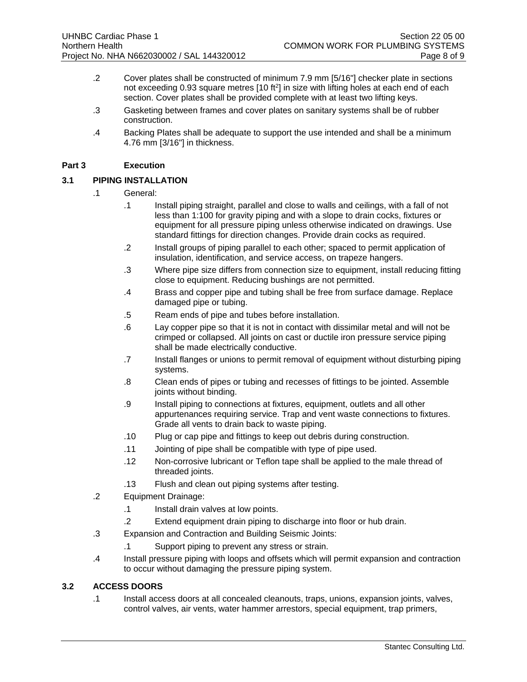- .2 Cover plates shall be constructed of minimum 7.9 mm [5/16"] checker plate in sections not exceeding 0.93 square metres  $[10 ft<sup>2</sup>]$  in size with lifting holes at each end of each section. Cover plates shall be provided complete with at least two lifting keys.
- .3 Gasketing between frames and cover plates on sanitary systems shall be of rubber construction.
- .4 Backing Plates shall be adequate to support the use intended and shall be a minimum 4.76 mm [3/16"] in thickness.

#### **Part 3 Execution**

#### **3.1 PIPING INSTALLATION**

- .1 General:
	- .1 Install piping straight, parallel and close to walls and ceilings, with a fall of not less than 1:100 for gravity piping and with a slope to drain cocks, fixtures or equipment for all pressure piping unless otherwise indicated on drawings. Use standard fittings for direction changes. Provide drain cocks as required.
	- .2 Install groups of piping parallel to each other; spaced to permit application of insulation, identification, and service access, on trapeze hangers.
	- .3 Where pipe size differs from connection size to equipment, install reducing fitting close to equipment. Reducing bushings are not permitted.
	- .4 Brass and copper pipe and tubing shall be free from surface damage. Replace damaged pipe or tubing.
	- .5 Ream ends of pipe and tubes before installation.
	- .6 Lay copper pipe so that it is not in contact with dissimilar metal and will not be crimped or collapsed. All joints on cast or ductile iron pressure service piping shall be made electrically conductive.
	- .7 Install flanges or unions to permit removal of equipment without disturbing piping systems.
	- .8 Clean ends of pipes or tubing and recesses of fittings to be jointed. Assemble joints without binding.
	- .9 Install piping to connections at fixtures, equipment, outlets and all other appurtenances requiring service. Trap and vent waste connections to fixtures. Grade all vents to drain back to waste piping.
	- .10 Plug or cap pipe and fittings to keep out debris during construction.
	- .11 Jointing of pipe shall be compatible with type of pipe used.
	- .12 Non-corrosive lubricant or Teflon tape shall be applied to the male thread of threaded joints.
	- .13 Flush and clean out piping systems after testing.
- .2 Equipment Drainage:
	- .1 Install drain valves at low points.
	- .2 Extend equipment drain piping to discharge into floor or hub drain.
- .3 Expansion and Contraction and Building Seismic Joints:
	- .1 Support piping to prevent any stress or strain.
- .4 Install pressure piping with loops and offsets which will permit expansion and contraction to occur without damaging the pressure piping system.

#### **3.2 ACCESS DOORS**

.1 Install access doors at all concealed cleanouts, traps, unions, expansion joints, valves, control valves, air vents, water hammer arrestors, special equipment, trap primers,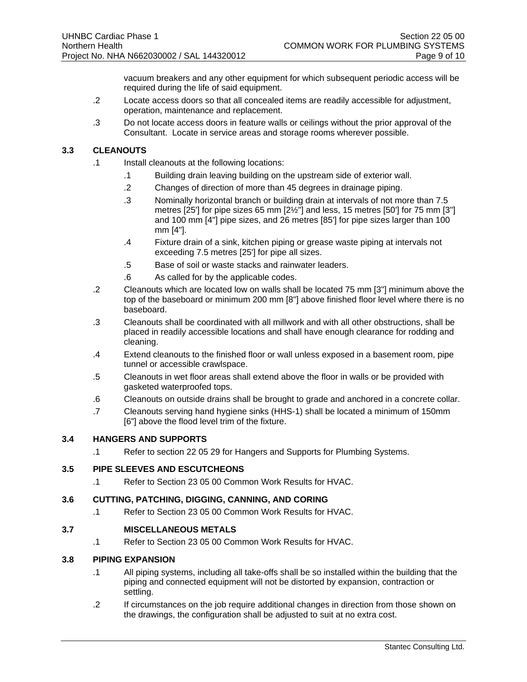vacuum breakers and any other equipment for which subsequent periodic access will be required during the life of said equipment.

- .2 Locate access doors so that all concealed items are readily accessible for adjustment, operation, maintenance and replacement.
- .3 Do not locate access doors in feature walls or ceilings without the prior approval of the Consultant. Locate in service areas and storage rooms wherever possible.

#### **3.3 CLEANOUTS**

- .1 Install cleanouts at the following locations:
	- .1 Building drain leaving building on the upstream side of exterior wall.
	- .2 Changes of direction of more than 45 degrees in drainage piping.
	- .3 Nominally horizontal branch or building drain at intervals of not more than 7.5 metres [25'] for pipe sizes 65 mm [2½"] and less, 15 metres [50'] for 75 mm [3"] and 100 mm [4"] pipe sizes, and 26 metres [85'] for pipe sizes larger than 100 mm [4"].
	- .4 Fixture drain of a sink, kitchen piping or grease waste piping at intervals not exceeding 7.5 metres [25'] for pipe all sizes.
	- .5 Base of soil or waste stacks and rainwater leaders.
	- .6 As called for by the applicable codes.
- .2 Cleanouts which are located low on walls shall be located 75 mm [3"] minimum above the top of the baseboard or minimum 200 mm [8"] above finished floor level where there is no baseboard.
- .3 Cleanouts shall be coordinated with all millwork and with all other obstructions, shall be placed in readily accessible locations and shall have enough clearance for rodding and cleaning.
- .4 Extend cleanouts to the finished floor or wall unless exposed in a basement room, pipe tunnel or accessible crawlspace.
- .5 Cleanouts in wet floor areas shall extend above the floor in walls or be provided with gasketed waterproofed tops.
- .6 Cleanouts on outside drains shall be brought to grade and anchored in a concrete collar.
- .7 Cleanouts serving hand hygiene sinks (HHS-1) shall be located a minimum of 150mm [6"] above the flood level trim of the fixture.

#### **3.4 HANGERS AND SUPPORTS**

.1 Refer to section 22 05 29 for Hangers and Supports for Plumbing Systems.

#### **3.5 PIPE SLEEVES AND ESCUTCHEONS**

.1 Refer to Section 23 05 00 Common Work Results for HVAC.

#### **3.6 CUTTING, PATCHING, DIGGING, CANNING, AND CORING**

.1 Refer to Section 23 05 00 Common Work Results for HVAC.

#### **3.7 MISCELLANEOUS METALS**

.1 Refer to Section 23 05 00 Common Work Results for HVAC.

#### **3.8 PIPING EXPANSION**

- .1 All piping systems, including all take-offs shall be so installed within the building that the piping and connected equipment will not be distorted by expansion, contraction or settling.
- .2 If circumstances on the job require additional changes in direction from those shown on the drawings, the configuration shall be adjusted to suit at no extra cost.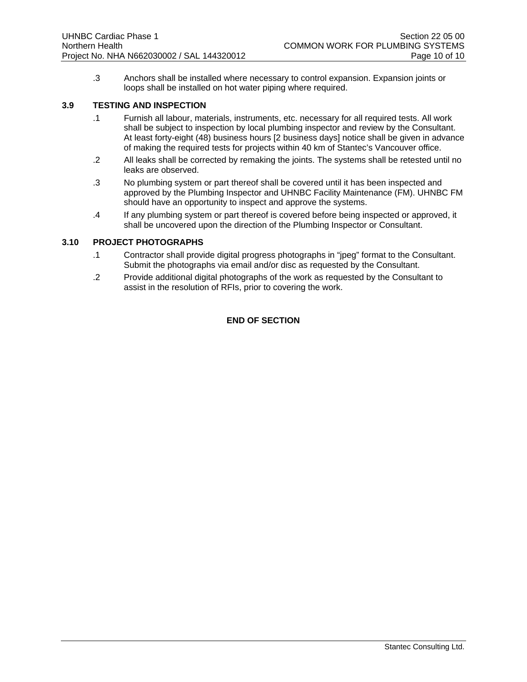.3 Anchors shall be installed where necessary to control expansion. Expansion joints or loops shall be installed on hot water piping where required.

#### **3.9 TESTING AND INSPECTION**

- .1 Furnish all labour, materials, instruments, etc. necessary for all required tests. All work shall be subject to inspection by local plumbing inspector and review by the Consultant. At least forty-eight (48) business hours [2 business days] notice shall be given in advance of making the required tests for projects within 40 km of Stantec's Vancouver office.
- .2 All leaks shall be corrected by remaking the joints. The systems shall be retested until no leaks are observed.
- .3 No plumbing system or part thereof shall be covered until it has been inspected and approved by the Plumbing Inspector and UHNBC Facility Maintenance (FM). UHNBC FM should have an opportunity to inspect and approve the systems.
- .4 If any plumbing system or part thereof is covered before being inspected or approved, it shall be uncovered upon the direction of the Plumbing Inspector or Consultant.

#### **3.10 PROJECT PHOTOGRAPHS**

- .1 Contractor shall provide digital progress photographs in "jpeg" format to the Consultant. Submit the photographs via email and/or disc as requested by the Consultant.
- .2 Provide additional digital photographs of the work as requested by the Consultant to assist in the resolution of RFIs, prior to covering the work.

#### **END OF SECTION**